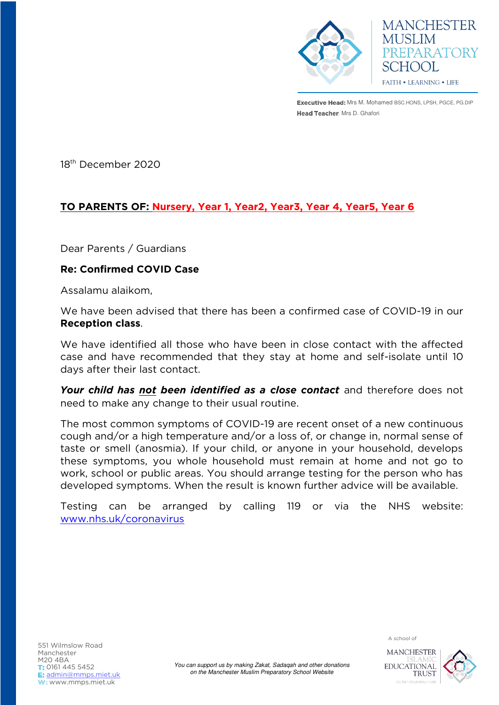

**Executive Head:** Mrs M. Mohamed BSC.HONS, LPSH, PGCE, PG.DIP Head Teacher: Mrs D. Ghafori

**MANCHESTER** 

PREPARATORY

**MUSLIM** 

SCHOOL

**FAITH • LEARNING • LIFE** 

18th December 2020

## **TO PARENTS OF: Nursery, Year 1, Year2, Year3, Year 4, Year5, Year 6**

Dear Parents / Guardians

## **Re: Confirmed COVID Case**

Assalamu alaikom,

We have been advised that there has been a confirmed case of COVID-19 in our **Reception class**.

We have identified all those who have been in close contact with the affected case and have recommended that they stay at home and self-isolate until 10 days after their last contact.

*Your child has not been identified as a close contact* and therefore does not need to make any change to their usual routine.

The most common symptoms of COVID-19 are recent onset of a new continuous cough and/or a high temperature and/or a loss of, or change in, normal sense of taste or smell (anosmia). If your child, or anyone in your household, develops these symptoms, you whole household must remain at home and not go to work, school or public areas. You should arrange testing for the person who has developed symptoms. When the result is known further advice will be available.

Testing can be arranged by calling 119 or via the NHS website: [www.nhs.uk/coronavirus](http://www.nhs.uk/coronavirus) 

A school of